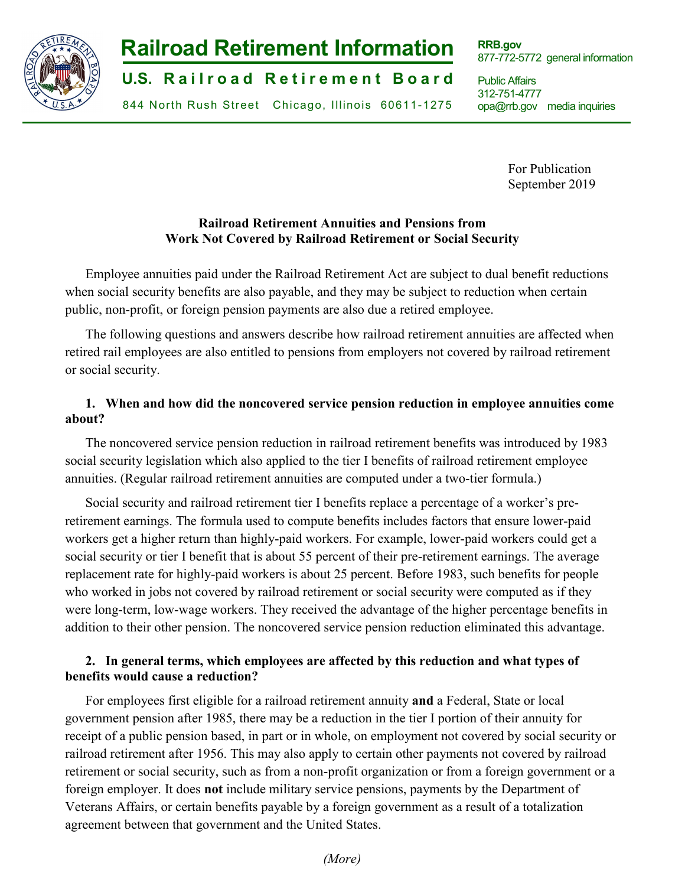

# **-1- Railroad Retirement Information**

**U.S. Railroad Retirement Board** 

844 North Rush Street Chicago, Illinois 60611-1275

**RRB.gov** 877-772-5772 general information

Public Affairs 312-751-4777 opa@rrb.gov media inquiries

> For Publication September 2019

## **Railroad Retirement Annuities and Pensions from Work Not Covered by Railroad Retirement or Social Security**

Employee annuities paid under the Railroad Retirement Act are subject to dual benefit reductions when social security benefits are also payable, and they may be subject to reduction when certain public, non-profit, or foreign pension payments are also due a retired employee.

The following questions and answers describe how railroad retirement annuities are affected when retired rail employees are also entitled to pensions from employers not covered by railroad retirement or social security.

## **1. When and how did the noncovered service pension reduction in employee annuities come about?**

The noncovered service pension reduction in railroad retirement benefits was introduced by 1983 social security legislation which also applied to the tier I benefits of railroad retirement employee annuities. (Regular railroad retirement annuities are computed under a two-tier formula.)

Social security and railroad retirement tier I benefits replace a percentage of a worker's preretirement earnings. The formula used to compute benefits includes factors that ensure lower-paid workers get a higher return than highly-paid workers. For example, lower-paid workers could get a social security or tier I benefit that is about 55 percent of their pre-retirement earnings. The average replacement rate for highly-paid workers is about 25 percent. Before 1983, such benefits for people who worked in jobs not covered by railroad retirement or social security were computed as if they were long-term, low-wage workers. They received the advantage of the higher percentage benefits in addition to their other pension. The noncovered service pension reduction eliminated this advantage.

## **2. In general terms, which employees are affected by this reduction and what types of benefits would cause a reduction?**

For employees first eligible for a railroad retirement annuity **and** a Federal, State or local government pension after 1985, there may be a reduction in the tier I portion of their annuity for receipt of a public pension based, in part or in whole, on employment not covered by social security or railroad retirement after 1956. This may also apply to certain other payments not covered by railroad retirement or social security, such as from a non-profit organization or from a foreign government or a foreign employer. It does **not** include military service pensions, payments by the Department of Veterans Affairs, or certain benefits payable by a foreign government as a result of a totalization agreement between that government and the United States.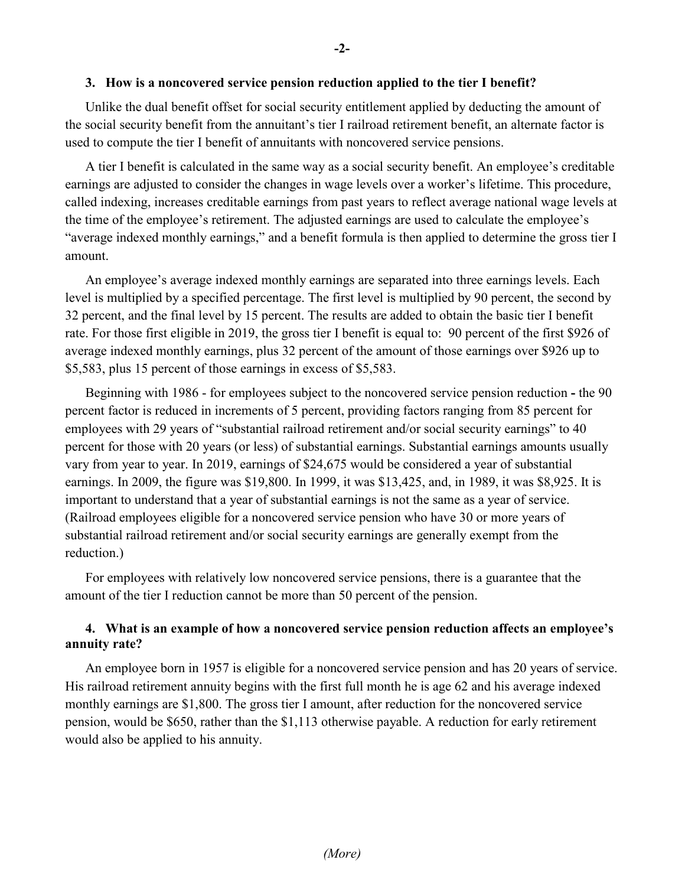#### **3. How is a noncovered service pension reduction applied to the tier I benefit?**

Unlike the dual benefit offset for social security entitlement applied by deducting the amount of the social security benefit from the annuitant's tier I railroad retirement benefit, an alternate factor is used to compute the tier I benefit of annuitants with noncovered service pensions.

A tier I benefit is calculated in the same way as a social security benefit. An employee's creditable earnings are adjusted to consider the changes in wage levels over a worker's lifetime. This procedure, called indexing, increases creditable earnings from past years to reflect average national wage levels at the time of the employee's retirement. The adjusted earnings are used to calculate the employee's "average indexed monthly earnings," and a benefit formula is then applied to determine the gross tier I amount.

An employee's average indexed monthly earnings are separated into three earnings levels. Each level is multiplied by a specified percentage. The first level is multiplied by 90 percent, the second by 32 percent, and the final level by 15 percent. The results are added to obtain the basic tier I benefit rate. For those first eligible in 2019, the gross tier I benefit is equal to: 90 percent of the first \$926 of average indexed monthly earnings, plus 32 percent of the amount of those earnings over \$926 up to \$5,583, plus 15 percent of those earnings in excess of \$5,583.

Beginning with 1986 - for employees subject to the noncovered service pension reduction **-** the 90 percent factor is reduced in increments of 5 percent, providing factors ranging from 85 percent for employees with 29 years of "substantial railroad retirement and/or social security earnings" to 40 percent for those with 20 years (or less) of substantial earnings. Substantial earnings amounts usually vary from year to year. In 2019, earnings of \$24,675 would be considered a year of substantial earnings. In 2009, the figure was \$19,800. In 1999, it was \$13,425, and, in 1989, it was \$8,925. It is important to understand that a year of substantial earnings is not the same as a year of service. (Railroad employees eligible for a noncovered service pension who have 30 or more years of substantial railroad retirement and/or social security earnings are generally exempt from the reduction.)

For employees with relatively low noncovered service pensions, there is a guarantee that the amount of the tier I reduction cannot be more than 50 percent of the pension.

### **4. What is an example of how a noncovered service pension reduction affects an employee's annuity rate?**

An employee born in 1957 is eligible for a noncovered service pension and has 20 years of service. His railroad retirement annuity begins with the first full month he is age 62 and his average indexed monthly earnings are \$1,800. The gross tier I amount, after reduction for the noncovered service pension, would be \$650, rather than the \$1,113 otherwise payable. A reduction for early retirement would also be applied to his annuity.